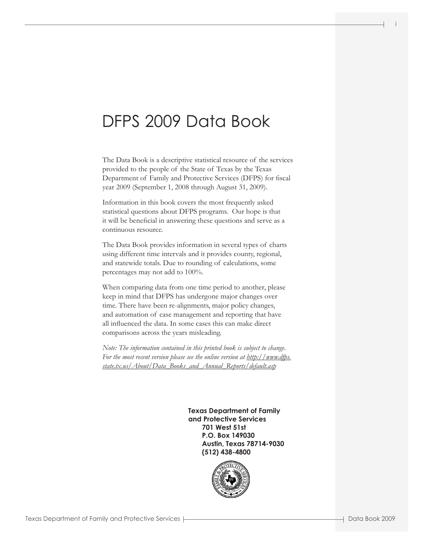# DFPS 2009 Data Book

The Data Book is a descriptive statistical resource of the services provided to the people of the State of Texas by the Texas Department of Family and Protective Services (DFPS) for fiscal year 2009 (September 1, 2008 through August 31, 2009).

Information in this book covers the most frequently asked statistical questions about DFPS programs. Our hope is that it will be beneficial in answering these questions and serve as a continuous resource.

The Data Book provides information in several types of charts using different time intervals and it provides county, regional, and statewide totals. Due to rounding of calculations, some percentages may not add to 100%.

When comparing data from one time period to another, please keep in mind that DFPS has undergone major changes over time. There have been re-alignments, major policy changes, and automation of case management and reporting that have all influenced the data. In some cases this can make direct comparisons across the years misleading.

*Note: The information contained in this printed book is subject to change. For the most recent version please see the online version at http://www.dfps. state.tx.us/About/Data\_Books\_and\_Annual\_Reports/default.asp*

> **Texas Department of Family and Protective Services 701 West 51st P.O. Box 149030 Austin, Texas 78714-9030 (512) 438-4800**

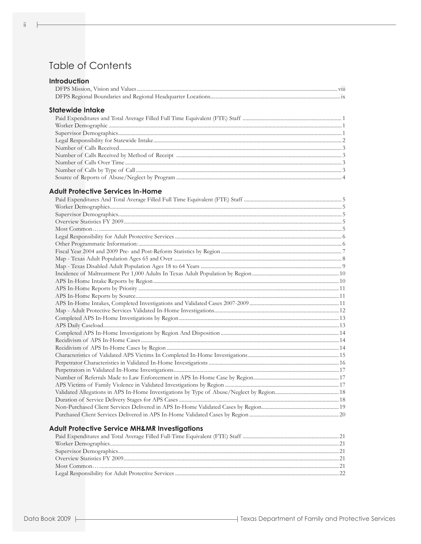# **Table of Contents**

| <b>Introduction</b>                                      |  |
|----------------------------------------------------------|--|
|                                                          |  |
|                                                          |  |
| Statewide Intake                                         |  |
|                                                          |  |
|                                                          |  |
|                                                          |  |
|                                                          |  |
|                                                          |  |
|                                                          |  |
|                                                          |  |
|                                                          |  |
|                                                          |  |
|                                                          |  |
| <b>Adult Protective Services In-Home</b>                 |  |
|                                                          |  |
|                                                          |  |
|                                                          |  |
|                                                          |  |
|                                                          |  |
|                                                          |  |
|                                                          |  |
|                                                          |  |
|                                                          |  |
|                                                          |  |
|                                                          |  |
|                                                          |  |
|                                                          |  |
|                                                          |  |
|                                                          |  |
|                                                          |  |
|                                                          |  |
|                                                          |  |
|                                                          |  |
|                                                          |  |
|                                                          |  |
|                                                          |  |
|                                                          |  |
|                                                          |  |
|                                                          |  |
|                                                          |  |
|                                                          |  |
|                                                          |  |
|                                                          |  |
|                                                          |  |
|                                                          |  |
| <b>Adult Protective Service MH&amp;MR Investigations</b> |  |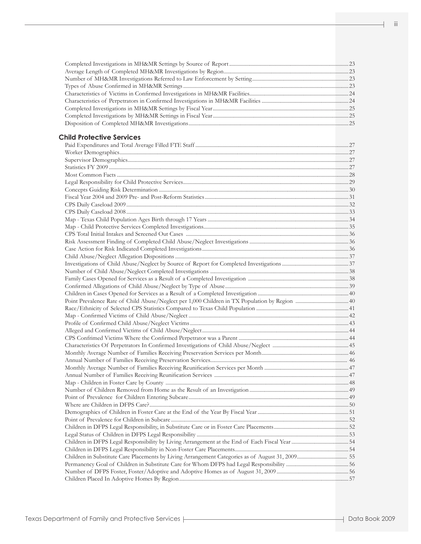### **Child Protective Services**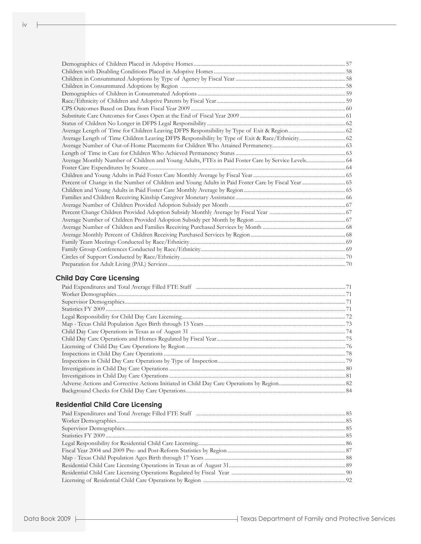| Average Monthly Number of Children and Young Adults, FTEs in Paid Foster Care by Service Levels 64 |  |
|----------------------------------------------------------------------------------------------------|--|
|                                                                                                    |  |
|                                                                                                    |  |
|                                                                                                    |  |
|                                                                                                    |  |
|                                                                                                    |  |
|                                                                                                    |  |
|                                                                                                    |  |
|                                                                                                    |  |
|                                                                                                    |  |
|                                                                                                    |  |
|                                                                                                    |  |
|                                                                                                    |  |
|                                                                                                    |  |
|                                                                                                    |  |

## **Child Day Care Licensing**

## **Residential Child Care Licensing**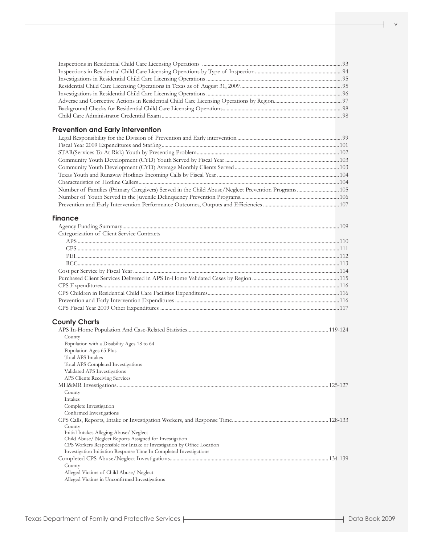| <b>Prevention and Early intervention</b>                                                          |  |
|---------------------------------------------------------------------------------------------------|--|
|                                                                                                   |  |
|                                                                                                   |  |
|                                                                                                   |  |
|                                                                                                   |  |
|                                                                                                   |  |
|                                                                                                   |  |
|                                                                                                   |  |
| Number of Families (Primary Caregivers) Served in the Child Abuse/Neglect Prevention Programs 105 |  |
|                                                                                                   |  |
|                                                                                                   |  |
| <b>Finance</b>                                                                                    |  |
|                                                                                                   |  |
| Categorization of Client Service Contracts                                                        |  |
|                                                                                                   |  |
|                                                                                                   |  |
|                                                                                                   |  |
|                                                                                                   |  |
|                                                                                                   |  |
|                                                                                                   |  |
|                                                                                                   |  |
|                                                                                                   |  |
|                                                                                                   |  |
|                                                                                                   |  |
| <b>County Charts</b>                                                                              |  |
|                                                                                                   |  |
| County                                                                                            |  |
| Population with a Disability Ages 18 to 64                                                        |  |
| Population Ages 65 Plus                                                                           |  |
| <b>Total APS Intakes</b>                                                                          |  |
| Total APS Completed Investigations                                                                |  |
| Validated APS Investigations                                                                      |  |
| APS Clients Receiving Services                                                                    |  |
|                                                                                                   |  |
| County                                                                                            |  |
| Intakes<br>Complete Investigation                                                                 |  |
| Confirmed Investigations                                                                          |  |
|                                                                                                   |  |
| County                                                                                            |  |
| Initial Intakes Alleging Abuse/ Neglect                                                           |  |
| Child Abuse/ Neglect Reports Assigned for Investigation                                           |  |
| CPS Workers Responsible for Intake or Investigation by Office Location                            |  |
| Investigation Initiation Response Time In Completed Investigations                                |  |
| County                                                                                            |  |
| Alleged Victims of Child Abuse/ Neglect                                                           |  |
| Alleged Victims in Unconfirmed Investigations                                                     |  |
|                                                                                                   |  |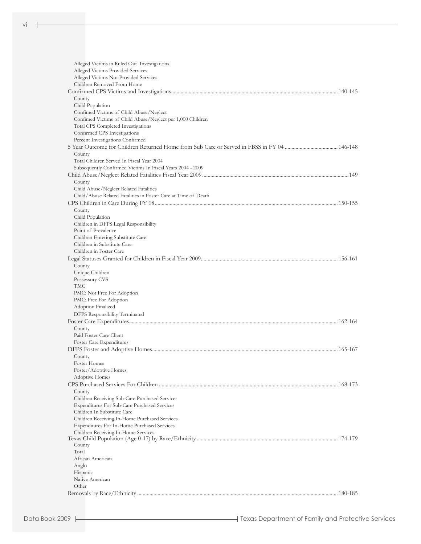ŀ

| Alleged Victims in Ruled Out Investigations                                                             |  |
|---------------------------------------------------------------------------------------------------------|--|
| Alleged Victims Provided Services                                                                       |  |
| Alleged Victims Not Provided Services                                                                   |  |
| Children Removed From Home                                                                              |  |
|                                                                                                         |  |
| County                                                                                                  |  |
| Child Population                                                                                        |  |
| Confimed Victims of Child Abuse/Neglect                                                                 |  |
| Confimed Victims of Child Abuse/Neglect per 1,000 Children                                              |  |
| Total CPS Completed Investigations                                                                      |  |
| Confirmed CPS Investigations                                                                            |  |
| Percent Investigations Confirmed                                                                        |  |
|                                                                                                         |  |
| County                                                                                                  |  |
| Total Children Served In Fiscal Year 2004<br>Subsequently Confirmed Victims In Fiscal Years 2004 - 2009 |  |
|                                                                                                         |  |
|                                                                                                         |  |
| County<br>Child Abuse/Neglect Related Fatalities                                                        |  |
| Child/Abuse Related Fatalities in Foster Care at Time of Death                                          |  |
|                                                                                                         |  |
| County                                                                                                  |  |
| Child Population                                                                                        |  |
| Children in DFPS Legal Responsibility                                                                   |  |
| Point of Prevalence                                                                                     |  |
| Children Entering Substitute Care                                                                       |  |
| Children in Substitute Care                                                                             |  |
| Children in Foster Care                                                                                 |  |
|                                                                                                         |  |
| County                                                                                                  |  |
| Unique Children                                                                                         |  |
| Possessory CVS                                                                                          |  |
| TMC                                                                                                     |  |
| PMC: Not Free For Adoption                                                                              |  |
| PMC: Free For Adoption                                                                                  |  |
| Adoption Finalized                                                                                      |  |
| DFPS Responsibility Terminated                                                                          |  |
|                                                                                                         |  |
| County                                                                                                  |  |
| Paid Foster Care Client                                                                                 |  |
| Foster Care Expenditures                                                                                |  |
|                                                                                                         |  |
| County                                                                                                  |  |
| Foster Homes<br>Foster/Adoptive Homes                                                                   |  |
| <b>Adoptive Homes</b>                                                                                   |  |
|                                                                                                         |  |
| County                                                                                                  |  |
| Children Receiving Sub-Care Purchased Services                                                          |  |
| <b>Expenditures For Sub-Care Purchased Services</b>                                                     |  |
| Children In Substitute Care                                                                             |  |
| Children Receiving In-Home Purchased Services                                                           |  |
| Expenditures For In-Home Purchased Services                                                             |  |
| Children Receiving In-Home Services                                                                     |  |
|                                                                                                         |  |
| County                                                                                                  |  |
| Total                                                                                                   |  |
| African American                                                                                        |  |
| Anglo                                                                                                   |  |
| Hispanic                                                                                                |  |
| Native American                                                                                         |  |
| Other                                                                                                   |  |
|                                                                                                         |  |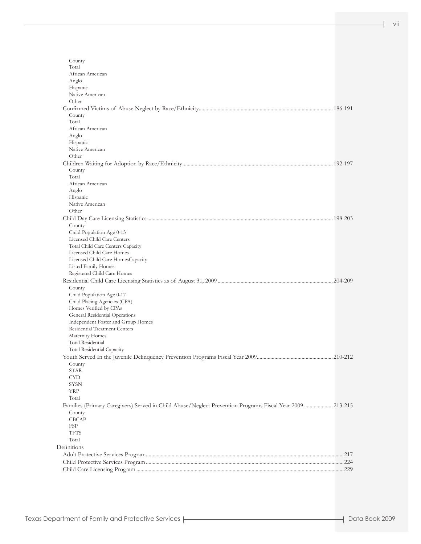| County                                                                                                    |  |
|-----------------------------------------------------------------------------------------------------------|--|
| Total                                                                                                     |  |
| African American                                                                                          |  |
| Anglo                                                                                                     |  |
| Hispanic                                                                                                  |  |
| Native American                                                                                           |  |
| Other                                                                                                     |  |
|                                                                                                           |  |
| County                                                                                                    |  |
| Total                                                                                                     |  |
| African American                                                                                          |  |
| Anglo                                                                                                     |  |
| Hispanic                                                                                                  |  |
| Native American                                                                                           |  |
| Other                                                                                                     |  |
|                                                                                                           |  |
| County                                                                                                    |  |
| Total                                                                                                     |  |
| African American                                                                                          |  |
| Anglo                                                                                                     |  |
| Hispanic                                                                                                  |  |
| Native American                                                                                           |  |
| Other                                                                                                     |  |
|                                                                                                           |  |
| County                                                                                                    |  |
| Child Population Age 0-13                                                                                 |  |
| Licensed Child Care Centers                                                                               |  |
| Total Child Care Centers Capacity                                                                         |  |
| Licensed Child Care Homes                                                                                 |  |
| Licensed Child Care HomesCapacity                                                                         |  |
|                                                                                                           |  |
| Listed Family Homes                                                                                       |  |
| Registered Child Care Homes                                                                               |  |
|                                                                                                           |  |
| County                                                                                                    |  |
| Child Population Age 0-17                                                                                 |  |
| Child Placing Agencies (CPA)                                                                              |  |
| Homes Verified by CPAs                                                                                    |  |
| General Residential Operations                                                                            |  |
| Independent Foster and Group Homes                                                                        |  |
| Residential Treatment Centers                                                                             |  |
| Maternity Homes                                                                                           |  |
| Total Residential                                                                                         |  |
| Total Residential Capacity                                                                                |  |
|                                                                                                           |  |
| County                                                                                                    |  |
| STAR                                                                                                      |  |
| <b>CYD</b>                                                                                                |  |
| <b>SYSN</b>                                                                                               |  |
| <b>YRP</b>                                                                                                |  |
| Total                                                                                                     |  |
| Families (Primary Caregivers) Served in Child Abuse/Neglect Prevention Programs Fiscal Year 2009  213-215 |  |
| County                                                                                                    |  |
| CBCAP                                                                                                     |  |
| FSP                                                                                                       |  |
| <b>TFTS</b>                                                                                               |  |
| Total                                                                                                     |  |
| Definitions                                                                                               |  |
|                                                                                                           |  |
|                                                                                                           |  |
|                                                                                                           |  |
|                                                                                                           |  |

vii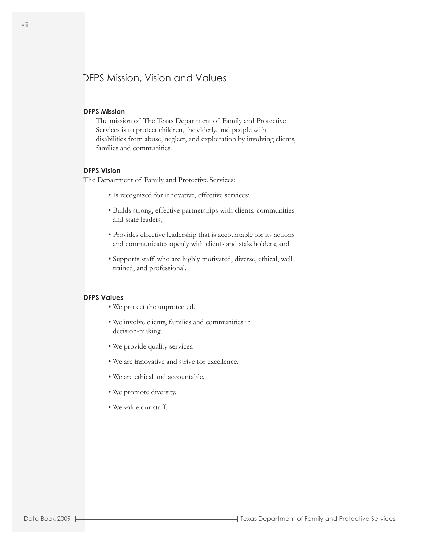# DFPS Mission, Vision and Values

#### **DFPS Mission**

 The mission of The Texas Department of Family and Protective Services is to protect children, the elderly, and people with disabilities from abuse, neglect, and exploitation by involving clients, families and communities.

#### **DFPS Vision**

The Department of Family and Protective Services:

- Is recognized for innovative, effective services;
- Builds strong, effective partnerships with clients, communities and state leaders;
- Provides effective leadership that is accountable for its actions and communicates openly with clients and stakeholders; and
- Supports staff who are highly motivated, diverse, ethical, well trained, and professional.

#### **DFPS Values**

- We protect the unprotected.
- We involve clients, families and communities in decision-making.
- We provide quality services.
- We are innovative and strive for excellence.
- We are ethical and accountable.
- We promote diversity.
- We value our staff.